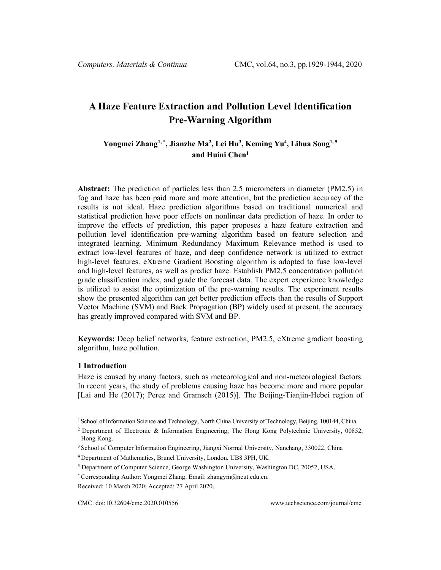# **A Haze Feature Extraction and Pollution Level Identification Pre-Warning Algorithm**

# **Yongmei Zhang[1,](#page-0-0) \* , Jianzhe Ma2 , Lei Hu3 , Keming Yu4 , Lihua Song1, <sup>5</sup> and Huini Chen1**

**Abstract:** The prediction of particles less than 2.5 micrometers in diameter (PM2.5) in fog and haze has been paid more and more attention, but the prediction accuracy of the results is not ideal. Haze prediction algorithms based on traditional numerical and statistical prediction have poor effects on nonlinear data prediction of haze. In order to improve the effects of prediction, this paper proposes a haze feature extraction and pollution level identification pre-warning algorithm based on feature selection and integrated learning. Minimum Redundancy Maximum Relevance method is used to extract low-level features of haze, and deep confidence network is utilized to extract high-level features. eXtreme Gradient Boosting algorithm is adopted to fuse low-level and high-level features, as well as predict haze. Establish PM2.5 concentration pollution grade classification index, and grade the forecast data. The expert experience knowledge is utilized to assist the optimization of the pre-warning results. The experiment results show the presented algorithm can get better prediction effects than the results of Support Vector Machine (SVM) and Back Propagation (BP) widely used at present, the accuracy has greatly improved compared with SVM and BP.

**Keywords:** Deep belief networks, feature extraction, PM2.5, eXtreme gradient boosting algorithm, haze pollution.

#### **1 Introduction**

Haze is caused by many factors, such as meteorological and non-meteorological factors. In recent years, the study of problems causing haze has become more and more popular [Lai and He (2017); Perez and Gramsch (2015)]. The Beijing-Tianjin-Hebei region of

<sup>1</sup> School of Information Science and Technology, North China University of Technology, Beijing, 100144, China.

<span id="page-0-0"></span><sup>2</sup> Department of Electronic & Information Engineering, The Hong Kong Polytechnic University, 00852, Hong Kong.

<sup>3</sup> School of Computer Information Engineering, Jiangxi Normal University, Nanchang, 330022, China

<sup>4</sup> Department of Mathematics, Brunel University, London, UB8 3PH, UK.

<sup>5</sup> Department of Computer Science, George Washington University, Washington DC, 20052, USA.

<sup>\*</sup> Corresponding Author: Yongmei Zhang. Email: zhangym@ncut.edu.cn.

Received: 10 March 2020; Accepted: 27 April 2020.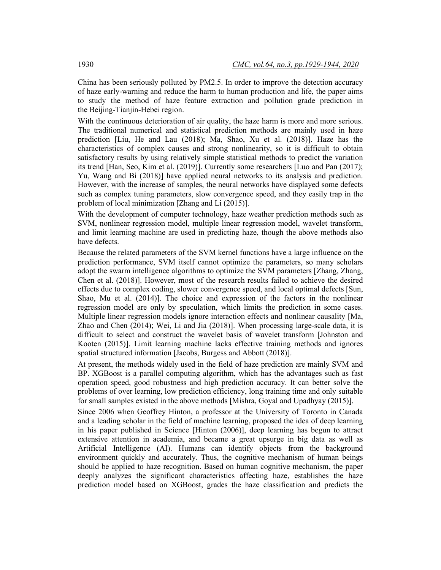China has been seriously polluted by PM2.5. In order to improve the detection accuracy of haze early-warning and reduce the harm to human production and life, the paper aims to study the method of haze feature extraction and pollution grade prediction in the Beijing-Tianjin-Hebei region.

With the continuous deterioration of air quality, the haze harm is more and more serious. The traditional numerical and statistical prediction methods are mainly used in haze prediction [Liu, He and Lau (2018); Ma, Shao, Xu et al. (2018)]. Haze has the characteristics of complex causes and strong nonlinearity, so it is difficult to obtain satisfactory results by using relatively simple statistical methods to predict the variation its trend [Han, Seo, Kim et al. (2019)]. Currently some researchers [Luo and Pan (2017); Yu, Wang and Bi (2018)] have applied neural networks to its analysis and prediction. However, with the increase of samples, the neural networks have displayed some defects such as complex tuning parameters, slow convergence speed, and they easily trap in the problem of local minimization [Zhang and Li (2015)].

With the development of computer technology, haze weather prediction methods such as SVM, nonlinear regression model, multiple linear regression model, wavelet transform, and limit learning machine are used in predicting haze, though the above methods also have defects.

Because the related parameters of the SVM kernel functions have a large influence on the prediction performance, SVM itself cannot optimize the parameters, so many scholars adopt the swarm intelligence algorithms to optimize the SVM parameters [Zhang, Zhang, Chen et al. (2018)]. However, most of the research results failed to achieve the desired effects due to complex coding, slower convergence speed, and local optimal defects [Sun, Shao, Mu et al. (2014)]. The choice and expression of the factors in the nonlinear regression model are only by speculation, which limits the prediction in some cases. Multiple linear regression models ignore interaction effects and nonlinear causality [Ma, Zhao and Chen (2014); Wei, Li and Jia (2018)]. When processing large-scale data, it is difficult to select and construct the wavelet basis of wavelet transform [Johnston and Kooten (2015)]. Limit learning machine lacks effective training methods and ignores spatial structured information [Jacobs, Burgess and Abbott (2018)].

At present, the methods widely used in the field of haze prediction are mainly SVM and BP. XGBoost is a parallel computing algorithm, which has the advantages such as fast operation speed, good robustness and high prediction accuracy. It can better solve the problems of over learning, low prediction efficiency, long training time and only suitable for small samples existed in the above methods [Mishra, Goyal and Upadhyay (2015)].

Since 2006 when Geoffrey Hinton, a professor at the University of Toronto in Canada and a leading scholar in the field of machine learning, proposed the idea of deep learning in his paper published in Science [Hinton (2006)], deep learning has begun to attract extensive attention in academia, and became a great upsurge in big data as well as Artificial Intelligence (AI). Humans can identify objects from the background environment quickly and accurately. Thus, the cognitive mechanism of human beings should be applied to haze recognition. Based on human cognitive mechanism, the paper deeply analyzes the significant characteristics affecting haze, establishes the haze prediction model based on XGBoost, grades the haze classification and predicts the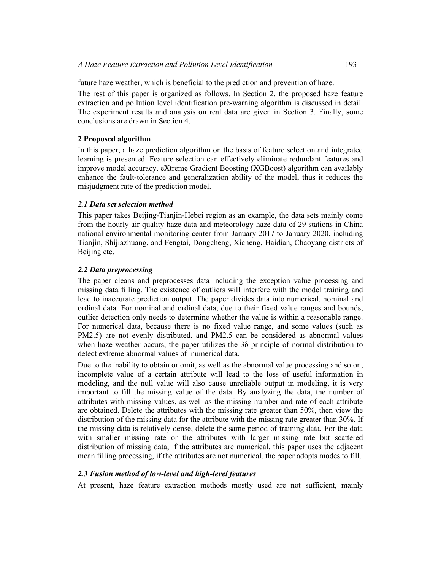future haze weather, which is beneficial to the prediction and prevention of haze.

The rest of this paper is organized as follows. In Section 2, the proposed haze feature extraction and pollution level identification pre-warning algorithm is discussed in detail. The experiment results and analysis on real data are given in Section 3. Finally, some conclusions are drawn in Section 4.

# **2 Proposed algorithm**

In this paper, a haze prediction algorithm on the basis of feature selection and integrated learning is presented. Feature selection can effectively eliminate redundant features and improve model accuracy. eXtreme Gradient Boosting (XGBoost) algorithm can availably enhance the fault-tolerance and generalization ability of the model, thus it reduces the misjudgment rate of the prediction model.

# *2.1 Data set selection method*

This paper takes Beijing-Tianjin-Hebei region as an example, the data sets mainly come from the hourly air quality haze data and meteorology haze data of 29 stations in China national environmental monitoring center from January 2017 to January 2020, including Tianjin, Shijiazhuang, and Fengtai, Dongcheng, Xicheng, Haidian, Chaoyang districts of Beijing etc.

# *2.2 Data preprocessing*

The paper cleans and preprocesses data including the exception value processing and missing data filling. The existence of outliers will interfere with the model training and lead to inaccurate prediction output. The paper divides data into numerical, nominal and ordinal data. For nominal and ordinal data, due to their fixed value ranges and bounds, outlier detection only needs to determine whether the value is within a reasonable range. For numerical data, because there is no fixed value range, and some values (such as PM2.5) are not evenly distributed, and PM2.5 can be considered as abnormal values when haze weather occurs, the paper utilizes the 3δ principle of normal distribution to detect extreme abnormal values of numerical data.

Due to the inability to obtain or omit, as well as the abnormal value processing and so on, incomplete value of a certain attribute will lead to the loss of useful information in modeling, and the null value will also cause unreliable output in modeling, it is very important to fill the missing value of the data. By analyzing the data, the number of attributes with missing values, as well as the missing number and rate of each attribute are obtained. Delete the attributes with the missing rate greater than 50%, then view the distribution of the missing data for the attribute with the missing rate greater than 30%. If the missing data is relatively dense, delete the same period of training data. For the data with smaller missing rate or the attributes with larger missing rate but scattered distribution of missing data, if the attributes are numerical, this paper uses the adjacent mean filling processing, if the attributes are not numerical, the paper adopts modes to fill.

## *2.3 Fusion method of low-level and high-level features*

At present, haze feature extraction methods mostly used are not sufficient, mainly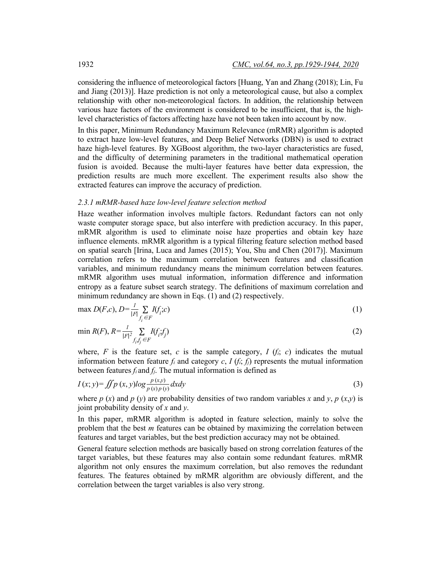considering the influence of meteorological factors [Huang, Yan and Zhang (2018); Lin, Fu and Jiang (2013)]. Haze prediction is not only a meteorological cause, but also a complex relationship with other non-meteorological factors. In addition, the relationship between various haze factors of the environment is considered to be insufficient, that is, the highlevel characteristics of factors affecting haze have not been taken into account by now.

In this paper, Minimum Redundancy Maximum Relevance (mRMR) algorithm is adopted to extract haze low-level features, and Deep Belief Networks (DBN) is used to extract haze high-level features. By XGBoost algorithm, the two-layer characteristics are fused, and the difficulty of determining parameters in the traditional mathematical operation fusion is avoided. Because the multi-layer features have better data expression, the prediction results are much more excellent. The experiment results also show the extracted features can improve the accuracy of prediction.

#### *2.3.1 mRMR-based haze low-level feature selection method*

Haze weather information involves multiple factors. Redundant factors can not only waste computer storage space, but also interfere with prediction accuracy. In this paper, mRMR algorithm is used to eliminate noise haze properties and obtain key haze influence elements. mRMR algorithm is a typical filtering feature selection method based on spatial search [Irina, Luca and James (2015); You, Shu and Chen (2017)]. Maximum correlation refers to the maximum correlation between features and classification variables, and minimum redundancy means the minimum correlation between features. mRMR algorithm uses mutual information, information difference and information entropy as a feature subset search strategy. The definitions of maximum correlation and minimum redundancy are shown in Eqs. (1) and (2) respectively.

$$
\max D(F,c), D = \frac{1}{|F|} \sum_{f_i \in F} I(f_i;c) \tag{1}
$$

$$
\min R(F), R = \frac{1}{|F|^2} \sum_{f_i, f_j \in F} I(f_i; f_j) \tag{2}
$$

where,  $F$  is the feature set,  $c$  is the sample category,  $I(f_i; c)$  indicates the mutual information between feature  $f_i$  and category  $c$ ,  $I(f_i, f_j)$  represents the mutual information between features *fi* and *fj*. The mutual information is defined as

$$
I(x; y) = \iint p(x, y) \log \frac{p(x, y)}{p(x)p(y)} dx dy
$$
\n(3)

where *p* (*x*) and *p* (*y*) are probability densities of two random variables *x* and *y*, *p* (*x,y*) is joint probability density of *x* and *y*.

In this paper, mRMR algorithm is adopted in feature selection, mainly to solve the problem that the best *m* features can be obtained by maximizing the correlation between features and target variables, but the best prediction accuracy may not be obtained.

General feature selection methods are basically based on strong correlation features of the target variables, but these features may also contain some redundant features. mRMR algorithm not only ensures the maximum correlation, but also removes the redundant features. The features obtained by mRMR algorithm are obviously different, and the correlation between the target variables is also very strong.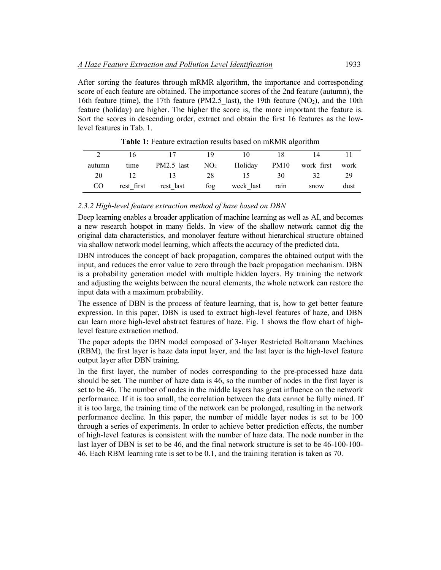After sorting the features through mRMR algorithm, the importance and corresponding score of each feature are obtained. The importance scores of the 2nd feature (autumn), the 16th feature (time), the 17th feature (PM2.5 last), the 19th feature (NO<sub>2</sub>), and the 10th feature (holiday) are higher. The higher the score is, the more important the feature is. Sort the scores in descending order, extract and obtain the first 16 features as the lowlevel features in Tab. 1.

| autumn | time       | PM2.5 last | NO <sub>2</sub> | Holiday   | PM10 | work first | work |
|--------|------------|------------|-----------------|-----------|------|------------|------|
| 20     |            |            | 28              |           | 30   |            | 29   |
| CO     | rest first | rest last  | fog             | week last | rain | snow       | dust |

**Table 1:** Feature extraction results based on mRMR algorithm

#### *2.3.2 High-level feature extraction method of haze based on DBN*

Deep learning enables a broader application of machine learning as well as AI, and becomes a new research hotspot in many fields. In view of the shallow network cannot dig the original data characteristics, and monolayer feature without hierarchical structure obtained via shallow network model learning, which affects the accuracy of the predicted data.

DBN introduces the concept of back propagation, compares the obtained output with the input, and reduces the error value to zero through the back propagation mechanism. DBN is a probability generation model with multiple hidden layers. By training the network and adjusting the weights between the neural elements, the whole network can restore the input data with a maximum probability.

The essence of DBN is the process of feature learning, that is, how to get better feature expression. In this paper, DBN is used to extract high-level features of haze, and DBN can learn more high-level abstract features of haze. Fig. 1 shows the flow chart of highlevel feature extraction method.

The paper adopts the DBN model composed of 3-layer Restricted Boltzmann Machines (RBM), the first layer is haze data input layer, and the last layer is the high-level feature output layer after DBN training.

In the first layer, the number of nodes corresponding to the pre-processed haze data should be set. The number of haze data is 46, so the number of nodes in the first layer is set to be 46. The number of nodes in the middle layers has great influence on the network performance. If it is too small, the correlation between the data cannot be fully mined. If it is too large, the training time of the network can be prolonged, resulting in the network performance decline. In this paper, the number of middle layer nodes is set to be 100 through a series of experiments. In order to achieve better prediction effects, the number of high-level features is consistent with the number of haze data. The node number in the last layer of DBN is set to be 46, and the final network structure is set to be 46-100-100- 46. Each RBM learning rate is set to be 0.1, and the training iteration is taken as 70.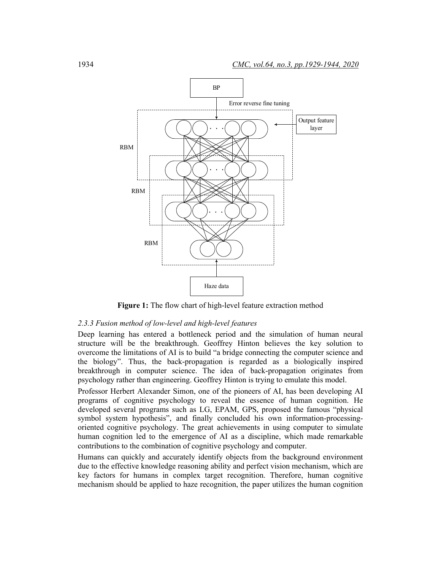

**Figure 1:** The flow chart of high-level feature extraction method

#### *2.3.3 Fusion method of low-level and high-level features*

Deep learning has entered a bottleneck period and the simulation of human neural structure will be the breakthrough. Geoffrey Hinton believes the key solution to overcome the limitations of AI is to build "a bridge connecting the computer science and the biology". Thus, the back-propagation is regarded as a biologically inspired breakthrough in computer science. The idea of back-propagation originates from psychology rather than engineering. Geoffrey Hinton is trying to emulate this model.

Professor Herbert Alexander Simon, one of the pioneers of AI, has been developing AI programs of cognitive psychology to reveal the essence of human cognition. He developed several programs such as LG, EPAM, GPS, proposed the famous "physical symbol system hypothesis", and finally concluded his own information-processingoriented cognitive psychology. The great achievements in using computer to simulate human cognition led to the emergence of AI as a discipline, which made remarkable contributions to the combination of cognitive psychology and computer.

Humans can quickly and accurately identify objects from the background environment due to the effective knowledge reasoning ability and perfect vision mechanism, which are key factors for humans in complex target recognition. Therefore, human cognitive mechanism should be applied to haze recognition, the paper utilizes the human cognition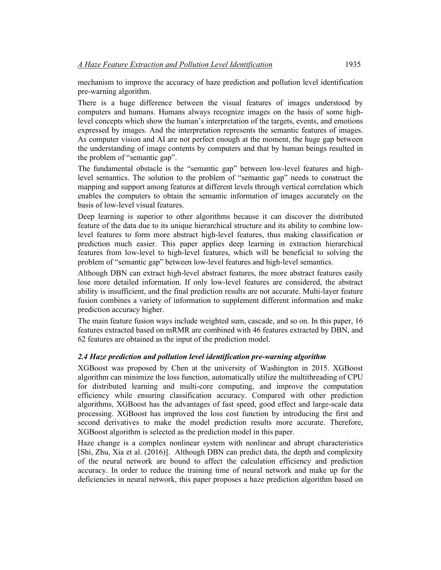mechanism to improve the accuracy of haze prediction and pollution level identification pre-warning algorithm.

There is a huge difference between the visual features of images understood by computers and humans. Humans always recognize images on the basis of some highlevel concepts which show the human's interpretation of the targets, events, and emotions expressed by images. And the interpretation represents the semantic features of images. As computer vision and AI are not perfect enough at the moment, the huge gap between the understanding of image contents by computers and that by human beings resulted in the problem of "semantic gap".

The fundamental obstacle is the "semantic gap" between low-level features and highlevel semantics. The solution to the problem of "semantic gap" needs to construct the mapping and support among features at different levels through vertical correlation which enables the computers to obtain the semantic information of images accurately on the basis of low-level visual features.

Deep learning is superior to other algorithms because it can discover the distributed feature of the data due to its unique hierarchical structure and its ability to combine lowlevel features to form more abstract high-level features, thus making classification or prediction much easier. This paper applies deep learning in extraction hierarchical features from low-level to high-level features, which will be beneficial to solving the problem of "semantic gap" between low-level features and high-level semantics.

Although DBN can extract high-level abstract features, the more abstract features easily lose more detailed information. If only low-level features are considered, the abstract ability is insufficient, and the final prediction results are not accurate. Multi-layer feature fusion combines a variety of information to supplement different information and make prediction accuracy higher.

The main feature fusion ways include weighted sum, cascade, and so on. In this paper, 16 features extracted based on mRMR are combined with 46 features extracted by DBN, and 62 features are obtained as the input of the prediction model.

## *2.4 Haze prediction and pollution level identification pre-warning algorithm*

XGBoost was proposed by Chen at the university of Washington in 2015. XGBoost algorithm can minimize the loss function, automatically utilize the multithreading of CPU for distributed learning and multi-core computing, and improve the computation efficiency while ensuring classification accuracy. Compared with other prediction algorithms, XGBoost has the advantages of fast speed, good effect and large-scale data processing. XGBoost has improved the loss cost function by introducing the first and second derivatives to make the model prediction results more accurate. Therefore, XGBoost algorithm is selected as the prediction model in this paper.

Haze change is a complex nonlinear system with nonlinear and abrupt characteristics [Shi, Zhu, Xia et al. (2016)]. Although DBN can predict data, the depth and complexity of the neural network are bound to affect the calculation efficiency and prediction accuracy. In order to reduce the training time of neural network and make up for the deficiencies in neural network, this paper proposes a haze prediction algorithm based on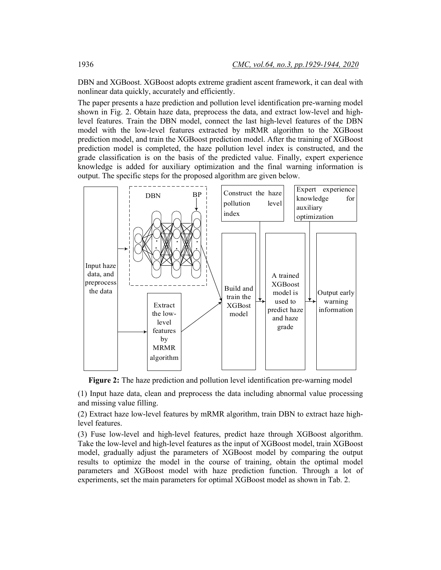DBN and XGBoost. XGBoost adopts extreme gradient ascent framework, it can deal with nonlinear data quickly, accurately and efficiently.

The paper presents a haze prediction and pollution level identification pre-warning model shown in Fig. 2. Obtain haze data, preprocess the data, and extract low-level and highlevel features. Train the DBN model, connect the last high-level features of the DBN model with the low-level features extracted by mRMR algorithm to the XGBoost prediction model, and train the XGBoost prediction model. After the training of XGBoost prediction model is completed, the haze pollution level index is constructed, and the grade classification is on the basis of the predicted value. Finally, expert experience knowledge is added for auxiliary optimization and the final warning information is output. The specific steps for the proposed algorithm are given below.



**Figure 2:** The haze prediction and pollution level identification pre-warning model

(1) Input haze data, clean and preprocess the data including abnormal value processing and missing value filling.

(2) Extract haze low-level features by mRMR algorithm, train DBN to extract haze highlevel features.

(3) Fuse low-level and high-level features, predict haze through XGBoost algorithm. Take the low-level and high-level features as the input of XGBoost model, train XGBoost model, gradually adjust the parameters of XGBoost model by comparing the output results to optimize the model in the course of training, obtain the optimal model parameters and XGBoost model with haze prediction function. Through a lot of experiments, set the main parameters for optimal XGBoost model as shown in Tab. 2.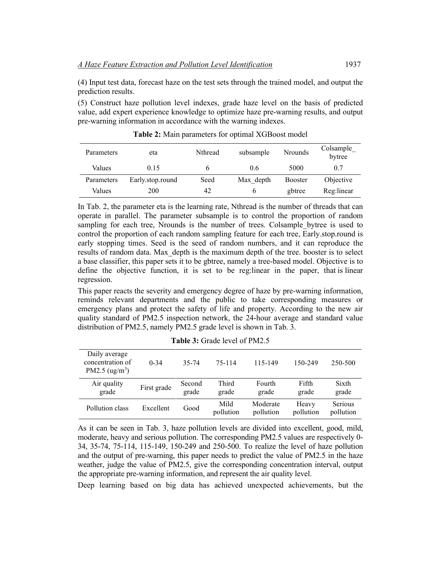(4) Input test data, forecast haze on the test sets through the trained model, and output the prediction results.

(5) Construct haze pollution level indexes, grade haze level on the basis of predicted value, add expert experience knowledge to optimize haze pre-warning results, and output pre-warning information in accordance with the warning indexes.

| Parameters | eta              | Nthread | subsample | <b>Nrounds</b> | Colsample<br>bytree |
|------------|------------------|---------|-----------|----------------|---------------------|
| Values     | 0.15             |         | 06        | 5000           | 0.7                 |
| Parameters | Early.stop.round | Seed    | Max depth | <b>Booster</b> | Objective           |
| Values     | 200              | 42      | b         | gbtree         | Reg:linear          |

**Table 2:** Main parameters for optimal XGBoost model

In Tab. 2, the parameter eta is the learning rate, Nthread is the number of threads that can operate in parallel. The parameter subsample is to control the proportion of random sampling for each tree, Nrounds is the number of trees. Colsample bytree is used to control the proportion of each random sampling feature for each tree, Early.stop.round is early stopping times. Seed is the seed of random numbers, and it can reproduce the results of random data. Max\_depth is the maximum depth of the tree. booster is to select a base classifier, this paper sets it to be gbtree, namely a tree-based model. Objective is to define the objective function, it is set to be reg:linear in the paper, that is linear regression.

This paper reacts the severity and emergency degree of haze by pre-warning information, reminds relevant departments and the public to take corresponding measures or emergency plans and protect the safety of life and property. According to the new air quality standard of PM2.5 inspection network, the 24-hour average and standard value distribution of PM2.5, namely PM2.5 grade level is shown in Tab. 3.

| Daily average<br>concentration of<br>PM2.5 $(ug/m3)$ | $0-34$      | 35-74           | 75-114            | 115-149               | 150-249            | 250-500              |
|------------------------------------------------------|-------------|-----------------|-------------------|-----------------------|--------------------|----------------------|
| Air quality<br>grade                                 | First grade | Second<br>grade | Third<br>grade    | Fourth<br>grade       | Fifth<br>grade     | Sixth<br>grade       |
| Pollution class                                      | Excellent   | Good            | Mild<br>pollution | Moderate<br>pollution | Heavy<br>pollution | Serious<br>pollution |

**Table 3:** Grade level of PM2.5

As it can be seen in Tab. 3, haze pollution levels are divided into excellent, good, mild, moderate, heavy and serious pollution. The corresponding PM2.5 values are respectively 0- 34, 35-74, 75-114, 115-149, 150-249 and 250-500. To realize the level of haze pollution and the output of pre-warning, this paper needs to predict the value of PM2.5 in the haze weather, judge the value of PM2.5, give the corresponding concentration interval, output the appropriate pre-warning information, and represent the air quality level.

Deep learning based on big data has achieved unexpected achievements, but the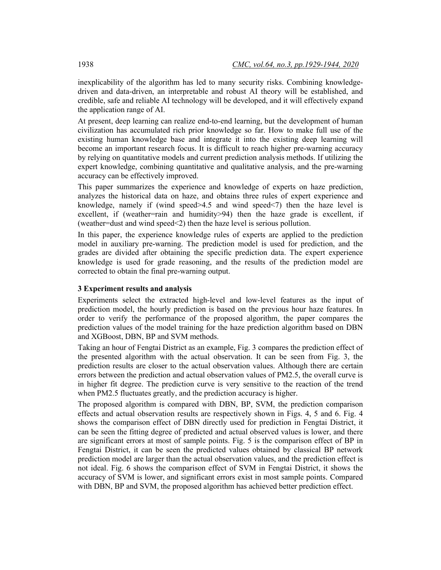inexplicability of the algorithm has led to many security risks. Combining knowledgedriven and data-driven, an interpretable and robust AI theory will be established, and credible, safe and reliable AI technology will be developed, and it will effectively expand the application range of AI.

At present, deep learning can realize end-to-end learning, but the development of human civilization has accumulated rich prior knowledge so far. How to make full use of the existing human knowledge base and integrate it into the existing deep learning will become an important research focus. It is difficult to reach higher pre-warning accuracy by relying on quantitative models and current prediction analysis methods. If utilizing the expert knowledge, combining quantitative and qualitative analysis, and the pre-warning accuracy can be effectively improved.

This paper summarizes the experience and knowledge of experts on haze prediction, analyzes the historical data on haze, and obtains three rules of expert experience and knowledge, namely if (wind speed>4.5 and wind speed<7) then the haze level is excellent, if (weather=rain and humidity>94) then the haze grade is excellent, if (weather=dust and wind speed<2) then the haze level is serious pollution.

In this paper, the experience knowledge rules of experts are applied to the prediction model in auxiliary pre-warning. The prediction model is used for prediction, and the grades are divided after obtaining the specific prediction data. The expert experience knowledge is used for grade reasoning, and the results of the prediction model are corrected to obtain the final pre-warning output.

#### **3 Experiment results and analysis**

Experiments select the extracted high-level and low-level features as the input of prediction model, the hourly prediction is based on the previous hour haze features. In order to verify the performance of the proposed algorithm, the paper compares the prediction values of the model training for the haze prediction algorithm based on DBN and XGBoost, DBN, BP and SVM methods.

Taking an hour of Fengtai District as an example, Fig. 3 compares the prediction effect of the presented algorithm with the actual observation. It can be seen from Fig. 3, the prediction results are closer to the actual observation values. Although there are certain errors between the prediction and actual observation values of PM2.5, the overall curve is in higher fit degree. The prediction curve is very sensitive to the reaction of the trend when PM2.5 fluctuates greatly, and the prediction accuracy is higher.

The proposed algorithm is compared with DBN, BP, SVM, the prediction comparison effects and actual observation results are respectively shown in Figs. 4, 5 and 6. Fig. 4 shows the comparison effect of DBN directly used for prediction in Fengtai District, it can be seen the fitting degree of predicted and actual observed values is lower, and there are significant errors at most of sample points. Fig. 5 is the comparison effect of BP in Fengtai District, it can be seen the predicted values obtained by classical BP network prediction model are larger than the actual observation values, and the prediction effect is not ideal. Fig. 6 shows the comparison effect of SVM in Fengtai District, it shows the accuracy of SVM is lower, and significant errors exist in most sample points. Compared with DBN, BP and SVM, the proposed algorithm has achieved better prediction effect.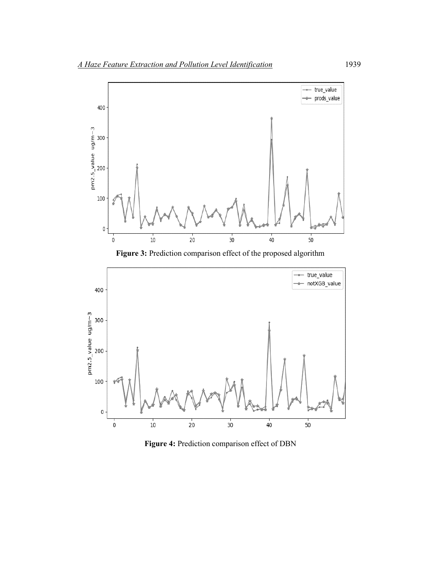





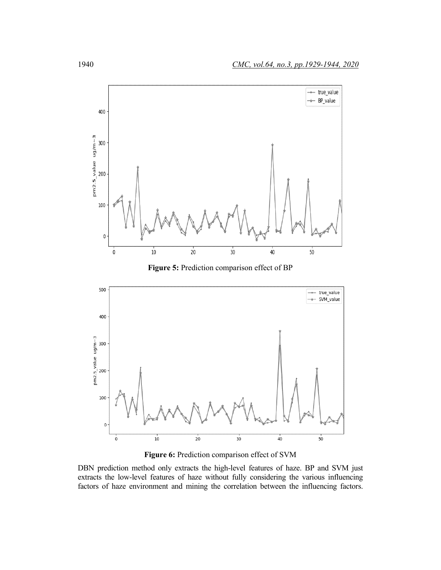

**Figure 5:** Prediction comparison effect of BP



**Figure 6:** Prediction comparison effect of SVM

DBN prediction method only extracts the high-level features of haze. BP and SVM just extracts the low-level features of haze without fully considering the various influencing factors of haze environment and mining the correlation between the influencing factors.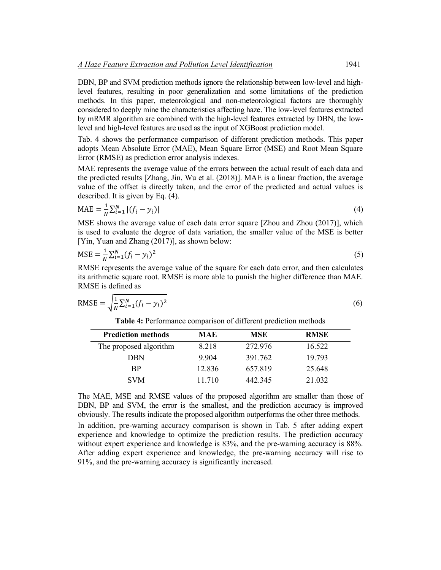DBN, BP and SVM prediction methods ignore the relationship between low-level and highlevel features, resulting in poor generalization and some limitations of the prediction methods. In this paper, meteorological and non-meteorological factors are thoroughly considered to deeply mine the characteristics affecting haze. The low-level features extracted by mRMR algorithm are combined with the high-level features extracted by DBN, the lowlevel and high-level features are used as the input of XGBoost prediction model.

Tab. 4 shows the performance comparison of different prediction methods. This paper adopts Mean Absolute Error (MAE), Mean Square Error (MSE) and Root Mean Square Error (RMSE) as prediction error analysis indexes.

MAE represents the average value of the errors between the actual result of each data and the predicted results [Zhang, Jin, Wu et al. (2018)]. MAE is a linear fraction, the average value of the offset is directly taken, and the error of the predicted and actual values is described. It is given by Eq. (4).

$$
MAE = \frac{1}{N} \sum_{i=1}^{N} |(f_i - y_i)|
$$
\n(4)

MSE shows the average value of each data error square [Zhou and Zhou (2017)], which is used to evaluate the degree of data variation, the smaller value of the MSE is better [Yin, Yuan and Zhang (2017)], as shown below:

$$
MSE = \frac{1}{N} \sum_{i=1}^{N} (f_i - y_i)^2
$$
 (5)

RMSE represents the average value of the square for each data error, and then calculates its arithmetic square root. RMSE is more able to punish the higher difference than MAE. RMSE is defined as

RMSE = 
$$
\sqrt{\frac{1}{N} \sum_{i=1}^{N} (f_i - y_i)^2}
$$
 (6)

**Table 4:** Performance comparison of different prediction methods

| <b>Prediction methods</b> | MAE     | <b>MSE</b> | <b>RMSE</b> |
|---------------------------|---------|------------|-------------|
| The proposed algorithm    | 8.218   | 272.976    | 16.522      |
| DBN                       | 9 9 0 4 | 391.762    | 19 793      |
| <b>BP</b>                 | 12.836  | 657.819    | 25.648      |
| <b>SVM</b>                | 11 710  | 442.345    | 21.032      |

The MAE, MSE and RMSE values of the proposed algorithm are smaller than those of DBN, BP and SVM, the error is the smallest, and the prediction accuracy is improved obviously. The results indicate the proposed algorithm outperforms the other three methods.

In addition, pre-warning accuracy comparison is shown in Tab. 5 after adding expert experience and knowledge to optimize the prediction results. The prediction accuracy without expert experience and knowledge is 83%, and the pre-warning accuracy is 88%. After adding expert experience and knowledge, the pre-warning accuracy will rise to 91%, and the pre-warning accuracy is significantly increased.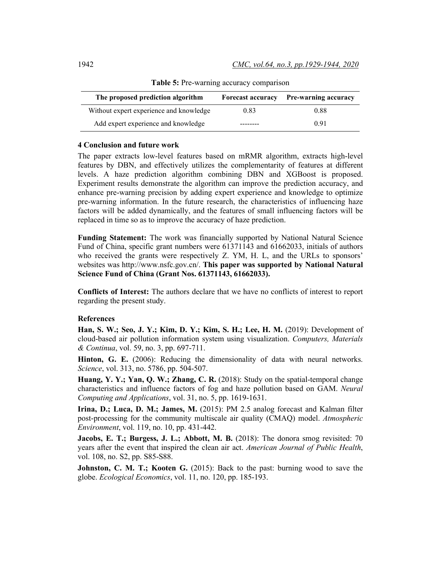| The proposed prediction algorithm       | <b>Forecast accuracy</b> | <b>Pre-warning accuracy</b> |
|-----------------------------------------|--------------------------|-----------------------------|
| Without expert experience and knowledge | 0.83                     | 0.88                        |
| Add expert experience and knowledge     |                          | 0.91                        |

Table 5: Pre-warning accuracy comparison

#### **4 Conclusion and future work**

The paper extracts low-level features based on mRMR algorithm, extracts high-level features by DBN, and effectively utilizes the complementarity of features at different levels. A haze prediction algorithm combining DBN and XGBoost is proposed. Experiment results demonstrate the algorithm can improve the prediction accuracy, and enhance pre-warning precision by adding expert experience and knowledge to optimize pre-warning information. In the future research, the characteristics of influencing haze factors will be added dynamically, and the features of small influencing factors will be replaced in time so as to improve the accuracy of haze prediction.

**Funding Statement:** The work was financially supported by National Natural Science Fund of China, specific grant numbers were 61371143 and 61662033, initials of authors who received the grants were respectively Z. YM, H. L, and the URLs to sponsors' websites was [http://www.nsfc.gov.cn/.](http://www.nsfc.gov.cn/) **This paper was supported by National Natural Science Fund of China (Grant Nos. 61371143, 61662033).**

**Conflicts of Interest:** The authors declare that we have no conflicts of interest to report regarding the present study.

#### **References**

**Han, S. W.; Seo, J. Y.; Kim, D. Y.; Kim, S. H.; Lee, H. M.** (2019): Development of cloud-based air pollution information system using visualization. *Computers, Materials & Continua*, vol. 59, no. 3, pp. 697-711.

**Hinton, G. E.** (2006): Reducing the dimensionality of data with neural networks. *Science*, vol. 313, no. 5786, pp. 504-507.

**Huang, Y. Y.; Yan, Q. W.; Zhang, C. R.** (2018): Study on the spatial-temporal change characteristics and influence factors of fog and haze pollution based on GAM. *Neural Computing and Applications*, vol. 31, no. 5, pp. 1619-1631.

**Irina, D.; Luca, D. M.; James, M.** (2015): PM 2.5 analog forecast and Kalman filter post-processing for the community multiscale air quality (CMAQ) model. *Atmospheric Environment*, vol. 119, no. 10, pp. 431-442.

**Jacobs, E. T.; Burgess, J. L.; Abbott, M. B.** (2018): The donora smog revisited: 70 years after the event that inspired the clean air act. *American Journal of Public Health*, vol. 108, no. S2, pp. S85-S88.

**Johnston, C. M. T.; Kooten G.** (2015): Back to the past: burning wood to save the globe. *Ecological Economics*, vol. 11, no. 120, pp. 185-193.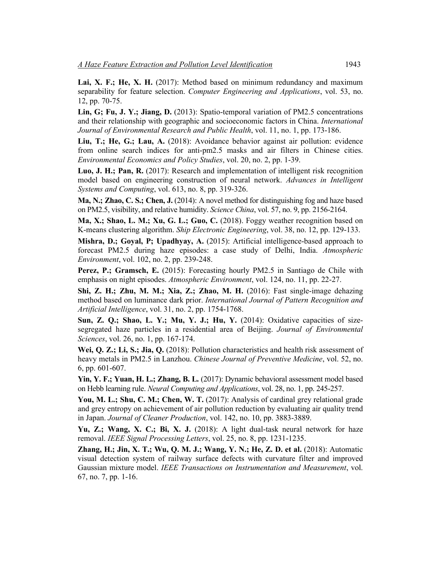**Lai, X. F.; He, X. H.** (2017): Method based on minimum redundancy and maximum separability for feature selection. *Computer Engineering and Applications*, vol. 53, no. 12, pp. 70-75.

**Lin, G; Fu, J. Y.; Jiang, D.** (2013): Spatio-temporal variation of PM2.5 concentrations and their relationship with geographic and socioeconomic factors in China. *International Journal of Environmental Research and Public Health*, vol. 11, no. 1, pp. 173-186.

**Liu, T.; He, G.; Lau, A.** (2018): Avoidance behavior against air pollution: evidence from online search indices for anti-pm2.5 masks and air filters in Chinese cities. *Environmental Economics and Policy Studies*, vol. 20, no. 2, pp. 1-39.

**Luo, J. H.; Pan, R.** (2017): Research and implementation of intelligent risk recognition model based on engineering construction of neural network. *Advances in Intelligent Systems and Computing*, vol. 613, no. 8, pp. 319-326.

**Ma, N.; Zhao, C. S.; Chen, J.** (2014): A novel method for distinguishing fog and haze based on PM2.5, visibility, and relative humidity. *Science China*, vol. 57, no. 9, pp. 2156-2164.

**Ma, X.; Shao, L. M.; Xu, G. L.; Guo, C.** (2018). Foggy weather recognition based on K-means clustering algorithm. *Ship Electronic Engineering*, vol. 38, no. 12, pp. 129-133.

**Mishra, D.; Goyal, P; Upadhyay, A.** (2015): Artificial intelligence-based approach to forecast PM2.5 during haze episodes: a case study of Delhi, India. *Atmospheric Environment*, vol. 102, no. 2, pp. 239-248.

**Perez, P.; Gramsch, E.** (2015): Forecasting hourly PM2.5 in Santiago de Chile with emphasis on night episodes. *Atmospheric Environment*, vol. 124, no. 11, pp. 22-27.

**Shi, Z. H.; Zhu, M. M.; Xia, Z.; Zhao, M. H.** (2016): Fast single-image dehazing method based on luminance dark prior. *International Journal of Pattern Recognition and Artificial Intelligence*, vol. 31, no. 2, pp. 1754-1768.

**Sun, Z. Q.; Shao, L. Y.; Mu, Y. J.; Hu, Y.** (2014): Oxidative capacities of sizesegregated haze particles in a residential area of Beijing. *Journal of Environmental Sciences*, vol. 26, no. 1, pp. 167-174.

**Wei, Q. Z.; Li, S.; Jia, Q.** (2018): Pollution characteristics and health risk assessment of heavy metals in PM2.5 in Lanzhou. *Chinese Journal of Preventive Medicine*, vol. 52, no. 6, pp. 601-607.

**Yin, Y. F.; Yuan, H. L.; Zhang, B. L.** (2017): Dynamic behavioral assessment model based on Hebb learning rule. *Neural Computing and Applications*, vol. 28, no. 1, pp. 245-257.

You, M. L.; Shu, C. M.; Chen, W. T. (2017): Analysis of cardinal grey relational grade and grey entropy on achievement of air pollution reduction by evaluating air quality trend in Japan. *Journal of Cleaner Production*, vol. 142, no. 10, pp. 3883-3889.

Yu, Z.; Wang, X. C.; Bi, X. J. (2018): A light dual-task neural network for haze removal. *IEEE Signal Processing Letters*, vol. 25, no. 8, pp. 1231-1235.

**Zhang, H.; Jin, X. T.; Wu, Q. M. J.; Wang, Y. N.; He, Z. D. et al.** (2018): Automatic visual detection system of railway surface defects with curvature filter and improved Gaussian mixture model. *IEEE Transactions on Instrumentation and Measurement*, vol. 67, no. 7, pp. 1-16.